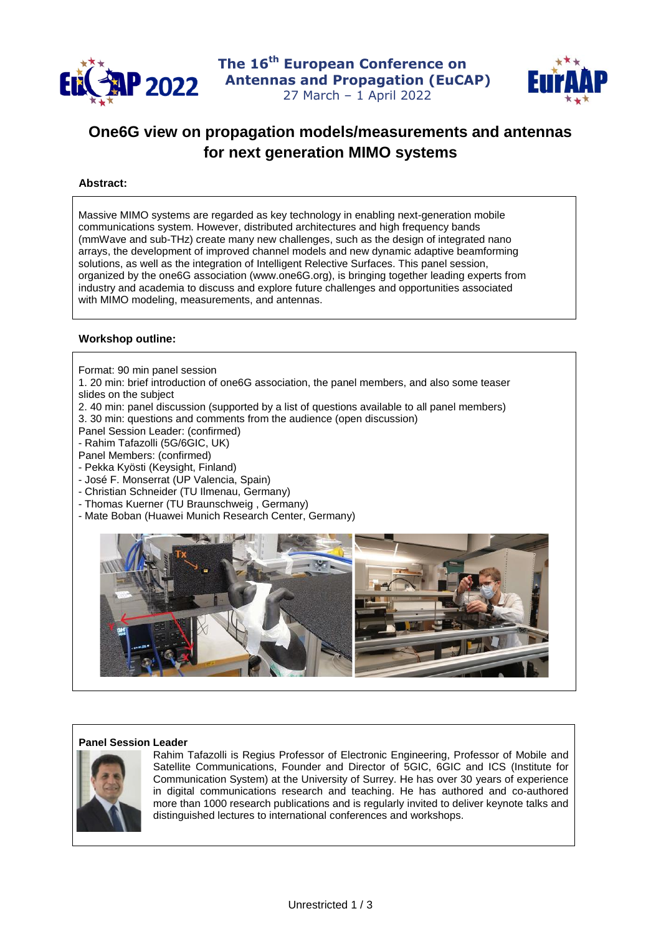



# **One6G view on propagation models/measurements and antennas for next generation MIMO systems**

## **Abstract:**

Massive MIMO systems are regarded as key technology in enabling next-generation mobile communications system. However, distributed architectures and high frequency bands (mmWave and sub-THz) create many new challenges, such as the design of integrated nano arrays, the development of improved channel models and new dynamic adaptive beamforming solutions, as well as the integration of Intelligent Relective Surfaces. This panel session, organized by the one6G association (www.one6G.org), is bringing together leading experts from industry and academia to discuss and explore future challenges and opportunities associated with MIMO modeling, measurements, and antennas.

### **Workshop outline:**

- Format: 90 min panel session
- 1. 20 min: brief introduction of one6G association, the panel members, and also some teaser slides on the subject
- 2. 40 min: panel discussion (supported by a list of questions available to all panel members)
- 3. 30 min: questions and comments from the audience (open discussion)
- Panel Session Leader: (confirmed)
- Rahim Tafazolli (5G/6GIC, UK)
- Panel Members: (confirmed)
- Pekka Kyösti (Keysight, Finland)
- José F. Monserrat (UP Valencia, Spain)
- Christian Schneider (TU Ilmenau, Germany)
- Thomas Kuerner (TU Braunschweig , Germany)
- Mate Boban (Huawei Munich Research Center, Germany)



#### **Panel Session Leader**



Rahim Tafazolli is Regius Professor of Electronic Engineering, Professor of Mobile and Satellite Communications, Founder and Director of 5GIC, 6GIC and ICS (Institute for Communication System) at the University of Surrey. He has over 30 years of experience in digital communications research and teaching. He has authored and co-authored more than 1000 research publications and is regularly invited to deliver keynote talks and distinguished lectures to international conferences and workshops.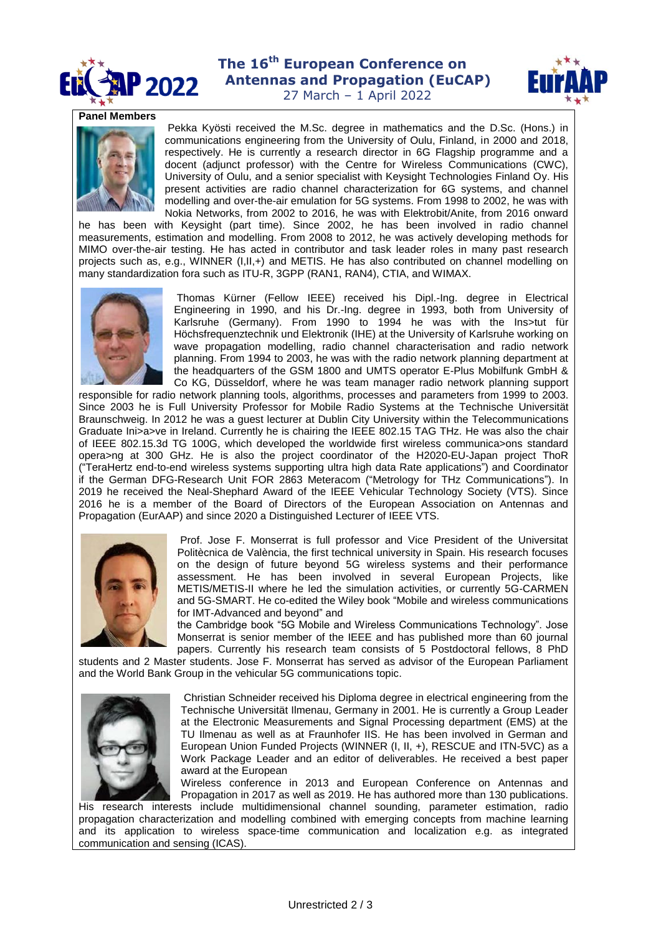

# **The 16th European Conference on P 2022** Antennas and Propagation (EuCAP)



27 March – 1 April 2022

#### **Panel Members**



Pekka Kyösti received the M.Sc. degree in mathematics and the D.Sc. (Hons.) in communications engineering from the University of Oulu, Finland, in 2000 and 2018, respectively. He is currently a research director in 6G Flagship programme and a docent (adjunct professor) with the Centre for Wireless Communications (CWC), University of Oulu, and a senior specialist with Keysight Technologies Finland Oy. His present activities are radio channel characterization for 6G systems, and channel modelling and over-the-air emulation for 5G systems. From 1998 to 2002, he was with Nokia Networks, from 2002 to 2016, he was with Elektrobit/Anite, from 2016 onward

he has been with Keysight (part time). Since 2002, he has been involved in radio channel measurements, estimation and modelling. From 2008 to 2012, he was actively developing methods for MIMO over-the-air testing. He has acted in contributor and task leader roles in many past research projects such as, e.g., WINNER (I,II,+) and METIS. He has also contributed on channel modelling on many standardization fora such as ITU-R, 3GPP (RAN1, RAN4), CTIA, and WIMAX.



Thomas Kürner (Fellow IEEE) received his Dipl.-Ing. degree in Electrical Engineering in 1990, and his Dr.-Ing. degree in 1993, both from University of Karlsruhe (Germany). From 1990 to 1994 he was with the Ins>tut für Höchsfrequenztechnik und Elektronik (IHE) at the University of Karlsruhe working on wave propagation modelling, radio channel characterisation and radio network planning. From 1994 to 2003, he was with the radio network planning department at the headquarters of the GSM 1800 and UMTS operator E-Plus Mobilfunk GmbH & Co KG, Düsseldorf, where he was team manager radio network planning support

responsible for radio network planning tools, algorithms, processes and parameters from 1999 to 2003. Since 2003 he is Full University Professor for Mobile Radio Systems at the Technische Universität Braunschweig. In 2012 he was a guest lecturer at Dublin City University within the Telecommunications Graduate Ini>a>ve in Ireland. Currently he is chairing the IEEE 802.15 TAG THz. He was also the chair of IEEE 802.15.3d TG 100G, which developed the worldwide first wireless communica>ons standard opera>ng at 300 GHz. He is also the project coordinator of the H2020-EU-Japan project ThoR ("TeraHertz end-to-end wireless systems supporting ultra high data Rate applications") and Coordinator if the German DFG-Research Unit FOR 2863 Meteracom ("Metrology for THz Communications"). In 2019 he received the Neal-Shephard Award of the IEEE Vehicular Technology Society (VTS). Since 2016 he is a member of the Board of Directors of the European Association on Antennas and Propagation (EurAAP) and since 2020 a Distinguished Lecturer of IEEE VTS.



Prof. Jose F. Monserrat is full professor and Vice President of the Universitat Politècnica de València, the first technical university in Spain. His research focuses on the design of future beyond 5G wireless systems and their performance assessment. He has been involved in several European Projects, like METIS/METIS-II where he led the simulation activities, or currently 5G-CARMEN and 5G-SMART. He co-edited the Wiley book "Mobile and wireless communications for IMT-Advanced and beyond" and

the Cambridge book "5G Mobile and Wireless Communications Technology". Jose Monserrat is senior member of the IEEE and has published more than 60 journal papers. Currently his research team consists of 5 Postdoctoral fellows, 8 PhD

students and 2 Master students. Jose F. Monserrat has served as advisor of the European Parliament and the World Bank Group in the vehicular 5G communications topic.



Christian Schneider received his Diploma degree in electrical engineering from the Technische Universität Ilmenau, Germany in 2001. He is currently a Group Leader at the Electronic Measurements and Signal Processing department (EMS) at the TU Ilmenau as well as at Fraunhofer IIS. He has been involved in German and European Union Funded Projects (WINNER (I, II, +), RESCUE and ITN-5VC) as a Work Package Leader and an editor of deliverables. He received a best paper award at the European

Wireless conference in 2013 and European Conference on Antennas and Propagation in 2017 as well as 2019. He has authored more than 130 publications.

His research interests include multidimensional channel sounding, parameter estimation, radio propagation characterization and modelling combined with emerging concepts from machine learning and its application to wireless space-time communication and localization e.g. as integrated communication and sensing (ICAS).